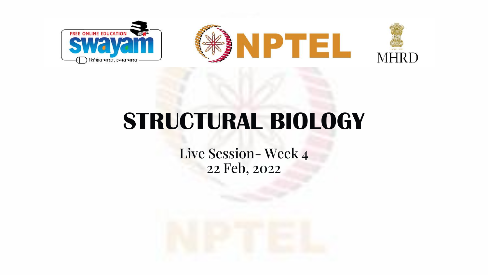

# **STRUCTURAL BIOLOGY**

Live Session- Week 4 22 Feb, 2022

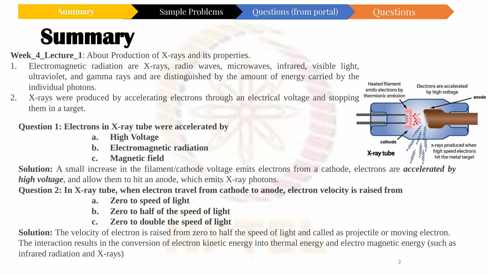Week\_4\_Lecture\_1: About Production of X-rays and its properties.

- 1. Electromagnetic radiation are X-rays, radio waves, microwaves, infrared, visible light, ultraviolet, and gamma rays and are distinguished by the amount of energy carried by the individual photons.
- 2. X-rays were produced by accelerating electrons through an electrical voltage and stopping them in a target.

#### **Question 1: Electrons in X-ray tube were accelerated by**

- **a. High Voltage**
- **b. Electromagnetic radiation**
- **c. Magnetic field**

**Solution:** A small increase in the filament/cathode voltage emits electrons from a cathode, electrons are *accelerated by high voltage*, and allow them to hit an anode, which emits X-ray photons.

**Question 2: In X-ray tube, when electron travel from cathode to anode, electron velocity is raised from**

- **a. Zero to speed of light**
- **b. Zero to half of the speed of light**
- **c. Zero to double the speed of light**

**Solution:** The velocity of electron is raised from zero to half the speed of light and called as projectile or moving electron. The interaction results in the conversion of electron kinetic energy into thermal energy and electro magnetic energy (such as infrared radiation and X-rays)



2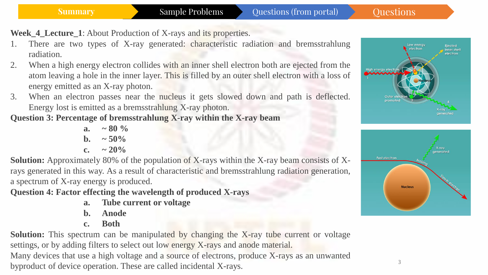**Week\_4\_Lecture\_1**: About Production of X-rays and its properties.

- There are two types of X-ray generated: characteristic radiation and bremsstrahlung radiation.
- 2. When a high energy electron collides with an inner shell electron both are ejected from the atom leaving a hole in the inner layer. This is filled by an outer shell electron with a loss of energy emitted as an X-ray photon.
- 3. When an electron passes near the nucleus it gets slowed down and path is deflected. Energy lost is emitted as a bremsstrahlung X-ray photon.

**Question 3: Percentage of bremsstrahlung X-ray within the X-ray beam**

**a.**  $\approx 80\%$ **b.**  $\sim 50\%$ **c. ~ 20%**

**Solution:** Approximately 80% of the population of X-rays within the X-ray beam consists of Xrays generated in this way. As a result of characteristic and bremsstrahlung radiation generation, a spectrum of X-ray energy is produced.

**Question 4: Factor effecting the wavelength of produced X-rays**

- **a. Tube current or voltage**
- **b. Anode**
- **c. Both**

**Solution:** This spectrum can be manipulated by changing the X-ray tube current or voltage settings, or by adding filters to select out low energy X-rays and anode material. Many devices that use a high voltage and a source of electrons, produce X-rays as an unwanted byproduct of device operation. These are called incidental X-rays.





3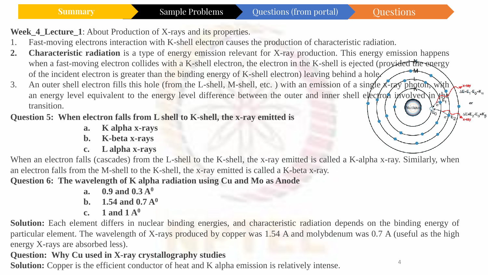$\Delta E=E_1-E_0=K_\alpha$ 

ΔE=E<sub>2</sub>-E<sub>0</sub>=K<sub>β</sub>

4

**Week\_4\_Lecture\_1**: About Production of X-rays and its properties.

- 1. Fast-moving electrons interaction with K-shell electron causes the production of characteristic radiation.
- **2. Characteristic radiation** is a type of energy emission relevant for X-ray production. This energy emission happens when a fast-moving electron collides with a K-shell electron, the electron in the K-shell is ejected (provided the energy of the incident electron is greater than the binding energy of K-shell electron) leaving behind a hole.
- 3. An outer shell electron fills this hole (from the L-shell, M-shell, etc.) with an emission of a single  $\chi$ -ray photon, with an energy level equivalent to the energy level difference between the outer and inner shell electron involved in transition.

#### **Question 5: When electron falls from L shell to K-shell, the x-ray emitted is**

- **a. K alpha x-rays**
- **b. K-beta x-rays**
- **c. L alpha x-rays**

When an electron falls (cascades) from the L-shell to the K-shell, the x-ray emitted is called a K-alpha x-ray. Similarly, when an electron falls from the M-shell to the K-shell, the x-ray emitted is called a K-beta x-ray.

**Question 6: The wavelength of K alpha radiation using Cu and Mo as Anode**

- **a. 0.9 and 0.3 A<sup>0</sup>**
- **b. 1.54 and 0.7 A<sup>0</sup>**
- **c. 1 and 1 A<sup>0</sup>**

**Solution:** Each element differs in nuclear binding energies, and characteristic radiation depends on the binding energy of particular element. The wavelength of X-rays produced by copper was 1.54 A and molybdenum was 0.7 A (useful as the high energy X-rays are absorbed less).

### **Question: Why Cu used in X-ray crystallography studies**

**Solution:** Copper is the efficient conductor of heat and K alpha emission is relatively intense.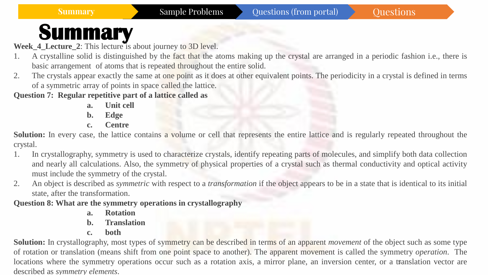**Week\_4\_Lecture\_2**: This lecture is about journey to 3D level.

- 1. A crystalline solid is distinguished by the fact that the atoms making up the crystal are arranged in a periodic fashion i.e., there is basic arrangement of atoms that is repeated throughout the entire solid.
- 2. The crystals appear exactly the same at one point as it does at other equivalent points. The periodicity in a crystal is defined in terms of a symmetric array of points in space called the lattice.

**Question 7: Regular repetitive part of a lattice called as**

- **a. Unit cell**
- **b. Edge**
- **c. Centre**

**Solution:** In every case, the lattice contains a volume or cell that represents the entire lattice and is regularly repeated throughout the crystal.

- 1. In crystallography, symmetry is used to characterize crystals, identify repeating parts of molecules, and simplify both data collection and nearly all calculations. Also, the symmetry of physical properties of a crystal such as thermal conductivity and optical activity must include the symmetry of the crystal.
- 2. An object is described as *symmetric* with respect to a *transformation* if the object appears to be in a state that is identical to its initial state, after the transformation.

**Question 8: What are the symmetry operations in crystallography**

- **a. Rotation**
- **b. Translation**
- **c. both**

locations where the symmetry operations occur such as a rotation axis, a mirror plane, an inversion center, or a translation vector are **Solution:** In crystallography, most types of symmetry can be described in terms of an apparent *movement* of the object such as some type of rotation or translation (means shift from one point space to another). The apparent movement is called the symmetry *operation*. The described as *symmetry elements*.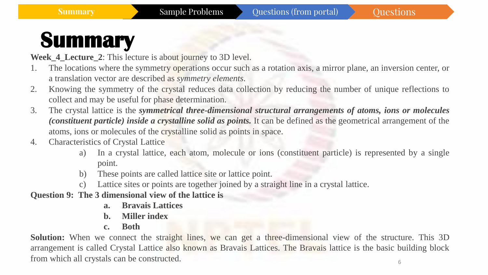**Week\_4\_Lecture\_2**: This lecture is about journey to 3D level.

- 1. The locations where the symmetry operations occur such as a rotation axis, a mirror plane, an inversion center, or a translation vector are described as *symmetry elements*.
- 2. Knowing the symmetry of the crystal reduces data collection by reducing the number of unique reflections to collect and may be useful for phase determination.
- 3. The crystal lattice is the *symmetrical three-dimensional structural arrangements of atoms, ions or molecules (constituent particle) inside a crystalline solid as points.* It can be defined as the geometrical arrangement of the atoms, ions or molecules of the crystalline solid as points in space.
- 4. Characteristics of Crystal Lattice
	- a) In a crystal lattice, each atom, molecule or ions (constituent particle) is represented by a single point.
	- b) These points are called lattice site or lattice point.
	- c) Lattice sites or points are together joined by a straight line in a crystal lattice.
- **Question 9: The 3 dimensional view of the lattice is**
	- **a. Bravais Lattices**
	- **b. Miller index**
	- **c. Both**

6 **Solution:** When we connect the straight lines, we can get a three-dimensional view of the structure. This 3D arrangement is called Crystal Lattice also known as Bravais Lattices. The Bravais lattice is the basic building block from which all crystals can be constructed.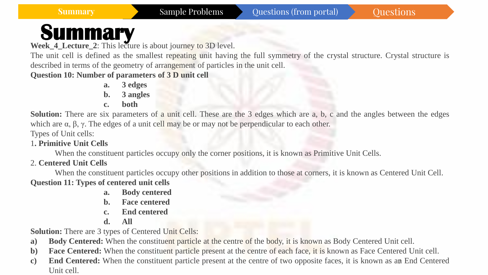**Week\_4\_Lecture\_2**: This lecture is about journey to 3D level.

The unit cell is defined as the smallest repeating unit having the full symmetry of the crystal structure. Crystal structure is described in terms of the geometry of arrangement of particles in the unit cell.

#### **Question 10: Number of parameters of 3 D unit cell**

- **a. 3 edges**
- **b. 3 angles**
- **c. both**

**Solution:** There are six parameters of a unit cell. These are the 3 edges which are a, b, c and the angles between the edges which are  $\alpha$ ,  $\beta$ ,  $\gamma$ . The edges of a unit cell may be or may not be perpendicular to each other.

Types of Unit cells:

1**. Primitive Unit Cells**

When the constituent particles occupy only the corner positions, it is known as Primitive Unit Cells.

#### 2. **Centered Unit Cells**

When the constituent particles occupy other positions in addition to those at corners, it is known as Centered Unit Cell. **Question 11: Types of centered unit cells**

- **a. Body centered**
- **b. Face centered**
- **c. End centered**
- **d. All**

**Solution:** There are 3 types of Centered Unit Cells:

- **a) Body Centered:** When the constituent particle at the centre of the body, it is known as Body Centered Unit cell.
- **b) Face Centered:** When the constituent particle present at the centre of each face, it is known as Face Centered Unit cell.
- 7 **c) End Centered:** When the constituent particle present at the centre of two opposite faces, it is known as an End Centered Unit cell.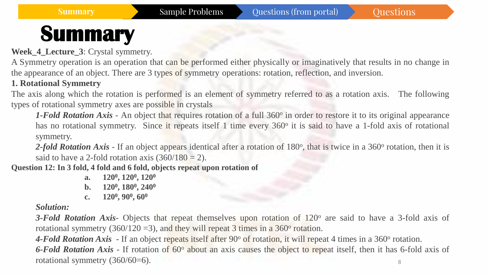**Week\_4\_Lecture\_3**: Crystal symmetry.

A Symmetry operation is an operation that can be performed either physically or imaginatively that results in no change in the appearance of an object. There are 3 types of symmetry operations: rotation, reflection, and inversion.

#### **1. Rotational Symmetry**

The axis along which the rotation is performed is an element of symmetry referred to as a rotation axis. The following types of rotational symmetry axes are possible in crystals

1-Fold Rotation Axis - An object that requires rotation of a full 360° in order to restore it to its original appearance has no rotational symmetry. Since it repeats itself 1 time every 360° it is said to have a 1-fold axis of rotational symmetry.

2-fold Rotation Axis - If an object appears identical after a rotation of 180°, that is twice in a 360° rotation, then it is said to have a 2-fold rotation axis  $(360/180 = 2)$ .

**Question 12: In 3 fold, 4 fold and 6 fold, objects repeat upon rotation of**

- **a. 120<sup>0</sup> , 120<sup>0</sup> , 120<sup>0</sup>**
- **b. 120<sup>0</sup> , 180<sup>0</sup> , 240<sup>0</sup>**
- **c. 120<sup>0</sup> , 90<sup>0</sup> , 60<sup>0</sup>**

*Solution:*

**3-Fold Rotation Axis**- Objects that repeat themselves upon rotation of 120<sup>o</sup> are said to have a 3-fold axis of rotational symmetry (360/120 = 3), and they will repeat 3 times in a  $360^{\circ}$  rotation.

8 4-Fold Rotation Axis - If an object repeats itself after 90° of rotation, it will repeat 4 times in a 360° rotation. **6-Fold Rotation Axis** - If rotation of 60<sup>°</sup> about an axis causes the object to repeat itself, then it has 6-fold axis of rotational symmetry (360/60=6).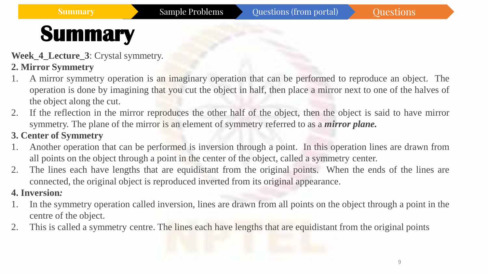**Week\_4\_Lecture\_3**: Crystal symmetry.

### **2. Mirror Symmetry**

- 1. A mirror symmetry operation is an imaginary operation that can be performed to reproduce an object. The operation is done by imagining that you cut the object in half, then place a mirror next to one of the halves of the object along the cut.
- 2. If the reflection in the mirror reproduces the other half of the object, then the object is said to have mirror symmetry. The plane of the mirror is an element of symmetry referred to as a *mirror plane.*

#### **3. Center of Symmetry**

- 1. Another operation that can be performed is inversion through a point. In this operation lines are drawn from all points on the object through a point in the center of the object, called a symmetry center.
- 2. The lines each have lengths that are equidistant from the original points. When the ends of the lines are connected, the original object is reproduced inverted from its original appearance.

#### **4. Inversion***:*

- 1. In the symmetry operation called inversion, lines are drawn from all points on the object through a point in the centre of the object.
- 2. This is called a symmetry centre. The lines each have lengths that are equidistant from the original points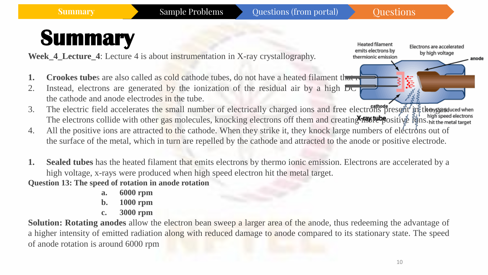Electrons are accelerated

by high voltage

anode

**Heated filament** 

emits electrons by

thermionic emission

## **Summary**

**Week\_4\_Lecture\_4**: Lecture 4 is about instrumentation in X-ray crystallography.

- **1. Crookes tube**s are also called as cold cathode tubes, do not have a heated filament that releases that  $\frac{1}{\sqrt{1-\frac{1}{n}}}\int$
- 2. Instead, electrons are generated by the ionization of the residual air by a high  $\overline{D}C$ the cathode and anode electrodes in the tube.
- 3. The electric field accelerates the small number of electrically charged ions and free electrons present in the gas duced when The electrons collide with other gas molecules, knocking electrons off them and creating **MMW tube** ositive in high speed electrons.
- 4. All the positive ions are attracted to the cathode. When they strike it, they knock large numbers of electrons out of the surface of the metal, which in turn are repelled by the cathode and attracted to the anode or positive electrode.
- **1. Sealed tubes** has the heated filament that emits electrons by thermo ionic emission. Electrons are accelerated by a high voltage, x-rays were produced when high speed electron hit the metal target.

**Question 13: The speed of rotation in anode rotation**

- **a. 6000 rpm**
- **b. 1000 rpm**
- **c. 3000 rpm**

**Solution: Rotating anodes** allow the electron bean sweep a larger area of the anode, thus redeeming the advantage of a higher intensity of emitted radiation along with reduced damage to anode compared to its stationary state. The speed of anode rotation is around 6000 rpm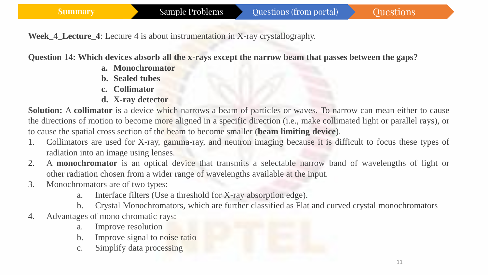**Week\_4\_Lecture\_4**: Lecture 4 is about instrumentation in X-ray crystallography.

**Question 14: Which devices absorb all the x-rays except the narrow beam that passes between the gaps?**

- **a. Monochromator**
- **b. Sealed tubes**
- **c. Collimator**
- **d. X-ray detector**

**Solution:** A **collimator** is a device which narrows a beam of particles or waves. To narrow can mean either to cause the directions of motion to become more aligned in a specific direction (i.e., make collimated light or parallel rays), or to cause the spatial cross section of the beam to become smaller (**beam limiting device**).

- 1. Collimators are used for X-ray, gamma-ray, and neutron imaging because it is difficult to focus these types of radiation into an image using lenses.
- 2. A **monochromator** is an optical device that transmits a selectable narrow band of wavelengths of light or other radiation chosen from a wider range of wavelengths available at the input.
- 3. Monochromators are of two types:
	- a. Interface filters (Use a threshold for X-ray absorption edge).
- b. Crystal Monochromators, which are further classified as Flat and curved crystal monochromators 4. Advantages of mono chromatic rays:
	- a. Improve resolution
	- b. Improve signal to noise ratio
	- c. Simplify data processing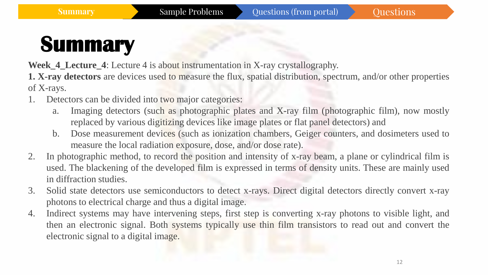**Week\_4\_Lecture\_4**: Lecture 4 is about instrumentation in X-ray crystallography.

**1. X-ray detectors** are devices used to measure the flux, spatial distribution, spectrum, and/or other properties of X-rays.

- 1. Detectors can be divided into two major categories:
	- a. Imaging detectors (such as photographic plates and X-ray film (photographic film), now mostly replaced by various digitizing devices like image plates or flat panel detectors) and
	- b. Dose measurement devices (such as ionization chambers, Geiger counters, and dosimeters used to measure the local radiation exposure, dose, and/or dose rate).
- 2. In photographic method, to record the position and intensity of x-ray beam, a plane or cylindrical film is used. The blackening of the developed film is expressed in terms of density units. These are mainly used in diffraction studies.
- 3. Solid state detectors use semiconductors to detect x-rays. Direct digital detectors directly convert x-ray photons to electrical charge and thus a digital image.
- 4. Indirect systems may have intervening steps, first step is converting x-ray photons to visible light, and then an electronic signal. Both systems typically use thin film transistors to read out and convert the electronic signal to a digital image.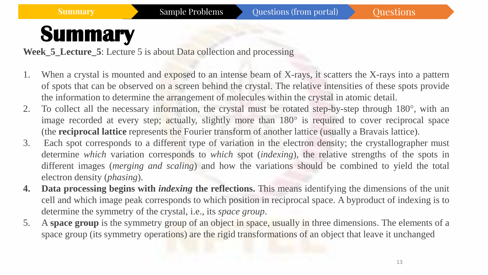**Week 5 Lecture 5:** Lecture 5 is about Data collection and processing

- 1. When a crystal is mounted and exposed to an intense beam of X-rays, it scatters the X-rays into a pattern of spots that can be observed on a screen behind the crystal. The relative intensities of these spots provide the information to determine the arrangement of molecules within the crystal in atomic detail.
- 2. To collect all the necessary information, the crystal must be rotated step-by-step through 180°, with an image recorded at every step; actually, slightly more than 180° is required to cover reciprocal space (the **reciprocal lattice** represents the Fourier transform of another lattice (usually a Bravais lattice).
- 3. Each spot corresponds to a different type of variation in the electron density; the crystallographer must determine *which* variation corresponds to *which* spot (*indexing*), the relative strengths of the spots in different images (*merging and scaling*) and how the variations should be combined to yield the total electron density (*phasing*).
- **4. Data processing begins with** *indexing* **the reflections.** This means identifying the dimensions of the unit cell and which image peak corresponds to which position in reciprocal space. A byproduct of indexing is to determine the symmetry of the crystal, i.e., its *space group*.
- 5. A **space group** is the symmetry group of an object in space, usually in three dimensions. The elements of a space group (its symmetry operations) are the rigid transformations of an object that leave it unchanged